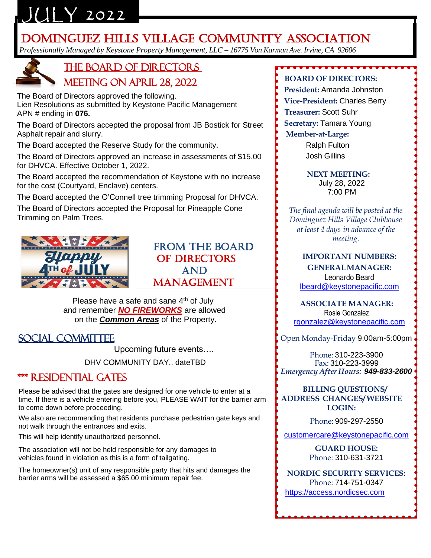# $JUIY 2022$

## **DOMINGUEZ HILLS VILLAGE COMMUNITY ASSOCIATION**

*Professionally Managed by Keystone Property Management, LLC – 16775 Von Karman Ave. Irvine, CA 92606*



## the Board of Directors Meeting on APRIL 28, 2022

 The Board of Directors approved the following. Lien Resolutions as submitted by Keystone Pacific Management APN # ending in **076.**

 The Board of Directors accepted the proposal from JB Bostick for Street Asphalt repair and slurry.

The Board accepted the Reserve Study for the community.

 The Board of Directors approved an increase in assessments of \$15.00 for DHVCA. Effective October 1, 2022.

 The Board accepted the recommendation of Keystone with no increase for the cost (Courtyard, Enclave) centers.

The Board accepted the O'Connell tree trimming Proposal for DHVCA.

 The Board of Directors accepted the Proposal for Pineapple Cone Trimming on Palm Trees.



## FROM THE BOARD OF DIRECTORS AND MANAGEMENT

Please have a safe and sane 4<sup>th</sup> of July and remember *NO FIREWORKS* are allowed on the *Common Areas* of the Property.

## Social Committee

Upcoming future events….

DHV COMMUNITY DAY.. dateTBD

### \*\*\* residential Gates

 Please be advised that the gates are designed for one vehicle to enter at a time. If there is a vehicle entering before you, PLEASE WAIT for the barrier arm to come down before proceeding.

 We also are recommending that residents purchase pedestrian gate keys and not walk through the entrances and exits.

This will help identify unauthorized personnel.

 The association will not be held responsible for any damages to vehicles found in violation as this is a form of tailgating.

 The homeowner(s) unit of any responsible party that hits and damages the barrier arms will be assessed a \$65.00 minimum repair fee.

#### **BOARD OF DIRECTORS:**

- **President:** Amanda Johnston
- **Vice-President:** Charles Berry
- **Treasurer:** Scott Suhr
- **Secretary:** Tamara Young

#### **Member-at-Large:**

Ralph Fulton Josh Gillins

#### **NEXT MEETING:**

July 28, 2022 7:00 PM

*The final agenda will be posted at the Dominguez Hills Village Clubhouse at least 4 days in advance of the meeting.*

#### **IMPORTANT NUMBERS: GENERALMANAGER:** Leonardo Beard [lbeard@keystonepacific.com](mailto:lbeard@keystonepacific.com)

**ASSOCIATE MANAGER:** Rosie Gonzalez [rgonzalez@keystonepacific.com](mailto:rgonzalez@keystonepacific.com)

Open Monday-Friday 9:00am-5:00pm

Phone: 310-223-3900 Fax: 310-223-3999 *Emergency After Hours: 949-833-2600*

#### **BILLING QUESTIONS/ ADDRESS CHANGES/ WEBSITE LOGIN:**

Phone: 909-297-2550

[customercare@keystonepacific.com](mailto:customercare@keystonepacific.com)

**GUARD HOUSE:** Phone: 310-631-3721

**NORDIC SECURITY SERVICES:** Phone: 714-751-0347 [https://access.nordicsec.com](https://access.nordicsec.com/)